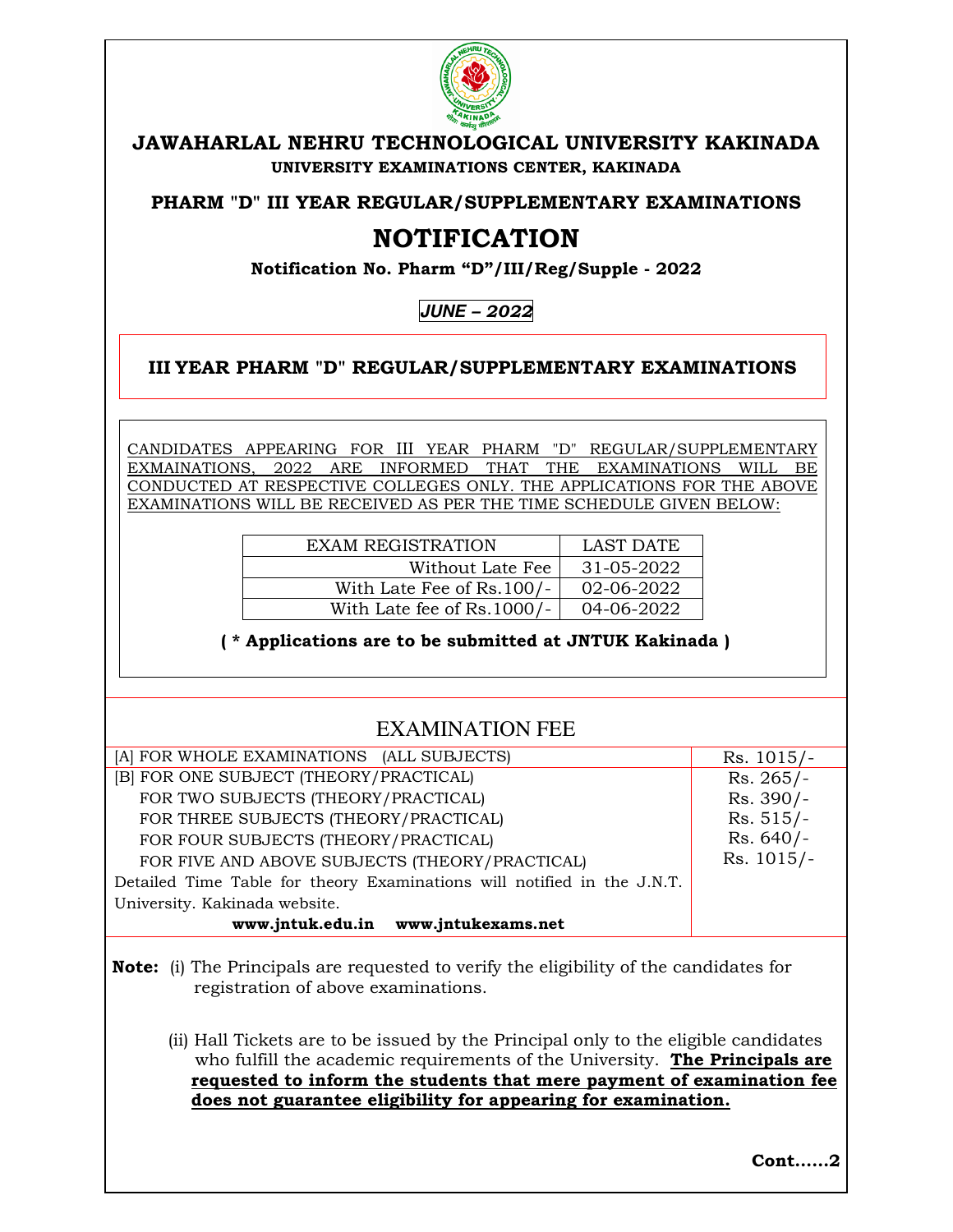

### **JAWAHARLAL NEHRU TECHNOLOGICAL UNIVERSITY KAKINADA UNIVERSITY EXAMINATIONS CENTER, KAKINADA**

**PHARM "D" III YEAR REGULAR/SUPPLEMENTARY EXAMINATIONS** 

# **NOTIFICATION**

**Notification No. Pharm "D"/III/Reg/Supple - 2022** 

**JUNE** *– 2022* 

#### **III YEAR PHARM "D" REGULAR/SUPPLEMENTARY EXAMINATIONS**

CANDIDATES APPEARING FOR III YEAR PHARM "D" REGULAR/SUPPLEMENTARY EXMAINATIONS, 2022 ARE INFORMED THAT THE EXAMINATIONS WILL BE CONDUCTED AT RESPECTIVE COLLEGES ONLY. THE APPLICATIONS FOR THE ABOVE EXAMINATIONS WILL BE RECEIVED AS PER THE TIME SCHEDULE GIVEN BELOW:

| <b>EXAM REGISTRATION</b>   | LAST DATE        |
|----------------------------|------------------|
| Without Late Fee           | $31 - 05 - 2022$ |
| With Late Fee of Rs.100/-  | 02-06-2022       |
| With Late fee of Rs.1000/- | 04-06-2022       |

 **( \* Applications are to be submitted at JNTUK Kakinada )** 

## EXAMINATION FEE

| [A] FOR WHOLE EXAMINATIONS (ALL SUBJECTS)                               | $Rs. 1015/-$ |
|-------------------------------------------------------------------------|--------------|
| [B] FOR ONE SUBJECT (THEORY/PRACTICAL)                                  | $Rs. 265/-$  |
| FOR TWO SUBJECTS (THEORY/PRACTICAL)                                     | Rs. 390/-    |
| FOR THREE SUBJECTS (THEORY/PRACTICAL)                                   | $Rs. 515/-$  |
| FOR FOUR SUBJECTS (THEORY/PRACTICAL)                                    | $Rs. 640/-$  |
| FOR FIVE AND ABOVE SUBJECTS (THEORY/PRACTICAL)                          | $Rs. 1015/-$ |
| Detailed Time Table for theory Examinations will notified in the J.N.T. |              |
| University. Kakinada website.                                           |              |
| www.jntuk.edu.in www.jntukexams.net                                     |              |

**Note:** (i) The Principals are requested to verify the eligibility of the candidates for registration of above examinations.

(ii) Hall Tickets are to be issued by the Principal only to the eligible candidates who fulfill the academic requirements of the University. **The Principals are requested to inform the students that mere payment of examination fee does not guarantee eligibility for appearing for examination.** 

**Cont……2**